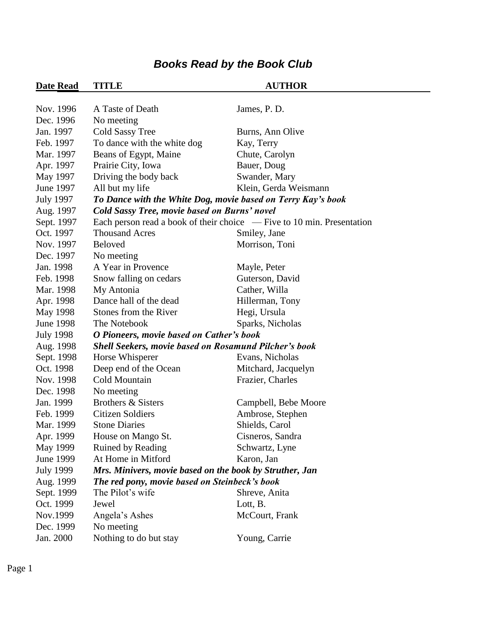| <b>Date Read</b> | <b>TITLE</b>                                                 | <b>AUTHOR</b>                                                            |  |
|------------------|--------------------------------------------------------------|--------------------------------------------------------------------------|--|
|                  |                                                              |                                                                          |  |
| Nov. 1996        | A Taste of Death                                             | James, P. D.                                                             |  |
| Dec. 1996        | No meeting                                                   |                                                                          |  |
| Jan. 1997        | Cold Sassy Tree                                              | Burns, Ann Olive                                                         |  |
| Feb. 1997        | To dance with the white dog                                  | Kay, Terry                                                               |  |
| Mar. 1997        | Beans of Egypt, Maine                                        | Chute, Carolyn                                                           |  |
| Apr. 1997        | Prairie City, Iowa                                           | Bauer, Doug                                                              |  |
| May 1997         | Driving the body back                                        | Swander, Mary                                                            |  |
| June 1997        | All but my life                                              | Klein, Gerda Weismann                                                    |  |
| <b>July 1997</b> | To Dance with the White Dog, movie based on Terry Kay's book |                                                                          |  |
| Aug. 1997        | Cold Sassy Tree, movie based on Burns' novel                 |                                                                          |  |
| Sept. 1997       |                                                              | Each person read a book of their choice $-$ Five to 10 min. Presentation |  |
| Oct. 1997        | <b>Thousand Acres</b>                                        | Smiley, Jane                                                             |  |
| Nov. 1997        | <b>Beloved</b>                                               | Morrison, Toni                                                           |  |
| Dec. 1997        | No meeting                                                   |                                                                          |  |
| Jan. 1998        | A Year in Provence                                           | Mayle, Peter                                                             |  |
| Feb. 1998        | Snow falling on cedars                                       | Guterson, David                                                          |  |
| Mar. 1998        | My Antonia                                                   | Cather, Willa                                                            |  |
| Apr. 1998        | Dance hall of the dead                                       | Hillerman, Tony                                                          |  |
| May 1998         | Stones from the River                                        | Hegi, Ursula                                                             |  |
| <b>June 1998</b> | The Notebook                                                 | Sparks, Nicholas                                                         |  |
| <b>July 1998</b> | O Pioneers, movie based on Cather's book                     |                                                                          |  |
| Aug. 1998        | <b>Shell Seekers, movie based on Rosamund Pilcher's book</b> |                                                                          |  |
| Sept. 1998       | Horse Whisperer                                              | Evans, Nicholas                                                          |  |
| Oct. 1998        | Deep end of the Ocean                                        | Mitchard, Jacquelyn                                                      |  |
| Nov. 1998        | Cold Mountain                                                | Frazier, Charles                                                         |  |
| Dec. 1998        | No meeting                                                   |                                                                          |  |
| Jan. 1999        | Brothers & Sisters                                           | Campbell, Bebe Moore                                                     |  |
| Feb. 1999        | <b>Citizen Soldiers</b>                                      | Ambrose, Stephen                                                         |  |
| Mar. 1999        | <b>Stone Diaries</b>                                         | Shields, Carol                                                           |  |
| Apr. 1999        | House on Mango St.                                           | Cisneros, Sandra                                                         |  |
| May 1999         | Ruined by Reading                                            | Schwartz, Lyne                                                           |  |
| June 1999        | At Home in Mitford                                           | Karon, Jan                                                               |  |
| <b>July 1999</b> | Mrs. Minivers, movie based on the book by Struther, Jan      |                                                                          |  |
| Aug. 1999        | The red pony, movie based on Steinbeck's book                |                                                                          |  |
| Sept. 1999       | The Pilot's wife                                             | Shreve, Anita                                                            |  |
| Oct. 1999        | Jewel                                                        | Lott, B.                                                                 |  |
| Nov.1999         | Angela's Ashes                                               | McCourt, Frank                                                           |  |
| Dec. 1999        | No meeting                                                   |                                                                          |  |
| Jan. 2000        | Nothing to do but stay                                       | Young, Carrie                                                            |  |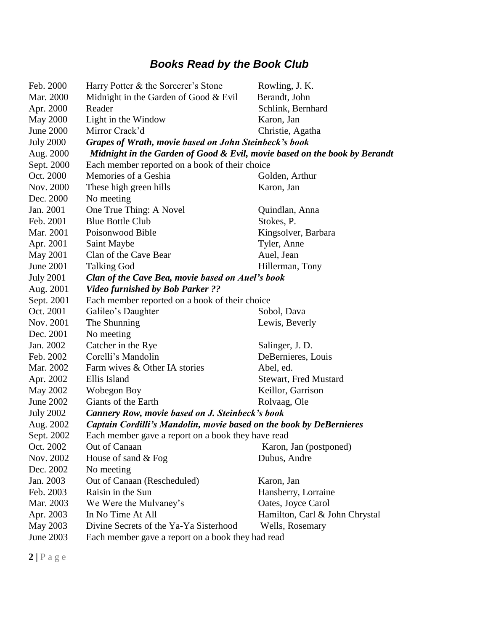| Feb. 2000        | Harry Potter & the Sorcerer's Stone                                       | Rowling, J. K.                 |
|------------------|---------------------------------------------------------------------------|--------------------------------|
| Mar. 2000        | Midnight in the Garden of Good $&$ Evil                                   | Berandt, John                  |
| Apr. 2000        | Reader                                                                    | Schlink, Bernhard              |
| <b>May 2000</b>  | Light in the Window                                                       | Karon, Jan                     |
| <b>June 2000</b> | Mirror Crack'd                                                            | Christie, Agatha               |
| <b>July 2000</b> | Grapes of Wrath, movie based on John Steinbeck's book                     |                                |
| Aug. 2000        | Midnight in the Garden of Good & Evil, movie based on the book by Berandt |                                |
| Sept. 2000       | Each member reported on a book of their choice                            |                                |
| Oct. 2000        | Memories of a Geshia                                                      | Golden, Arthur                 |
| Nov. 2000        | These high green hills                                                    | Karon, Jan                     |
| Dec. 2000        | No meeting                                                                |                                |
| Jan. 2001        | One True Thing: A Novel                                                   | Quindlan, Anna                 |
| Feb. 2001        | <b>Blue Bottle Club</b>                                                   | Stokes, P.                     |
| Mar. 2001        | Poisonwood Bible                                                          | Kingsolver, Barbara            |
| Apr. 2001        | Saint Maybe                                                               | Tyler, Anne                    |
| <b>May 2001</b>  | Clan of the Cave Bear                                                     | Auel, Jean                     |
| <b>June 2001</b> | <b>Talking God</b>                                                        | Hillerman, Tony                |
| <b>July 2001</b> | Clan of the Cave Bea, movie based on Auel's book                          |                                |
| Aug. 2001        | <b>Video furnished by Bob Parker ??</b>                                   |                                |
| Sept. 2001       | Each member reported on a book of their choice                            |                                |
| Oct. 2001        | Galileo's Daughter                                                        | Sobol, Dava                    |
| Nov. 2001        | The Shunning                                                              | Lewis, Beverly                 |
| Dec. 2001        | No meeting                                                                |                                |
| Jan. 2002        | Catcher in the Rye                                                        | Salinger, J. D.                |
| Feb. 2002        | Corelli's Mandolin                                                        | DeBernieres, Louis             |
| Mar. 2002        | Farm wives & Other IA stories                                             | Abel, ed.                      |
| Apr. 2002        | Ellis Island                                                              | <b>Stewart, Fred Mustard</b>   |
| <b>May 2002</b>  | Wobegon Boy                                                               | Keillor, Garrison              |
| June 2002        | Giants of the Earth                                                       | Rolvaag, Ole                   |
| <b>July 2002</b> | <b>Cannery Row, movie based on J. Steinbeck's book</b>                    |                                |
| Aug. 2002        | Captain Cordilli's Mandolin, movie based on the book by DeBernieres       |                                |
| Sept. 2002       | Each member gave a report on a book they have read                        |                                |
| Oct. 2002        | Out of Canaan                                                             | Karon, Jan (postponed)         |
| Nov. 2002        | House of sand & Fog                                                       | Dubus, Andre                   |
| Dec. 2002        | No meeting                                                                |                                |
| Jan. 2003        | Out of Canaan (Rescheduled)                                               | Karon, Jan                     |
| Feb. 2003        | Raisin in the Sun                                                         | Hansberry, Lorraine            |
| Mar. 2003        | We Were the Mulvaney's                                                    | Oates, Joyce Carol             |
| Apr. 2003        | In No Time At All                                                         | Hamilton, Carl & John Chrystal |
| <b>May 2003</b>  | Divine Secrets of the Ya-Ya Sisterhood                                    | Wells, Rosemary                |
| June 2003        | Each member gave a report on a book they had read                         |                                |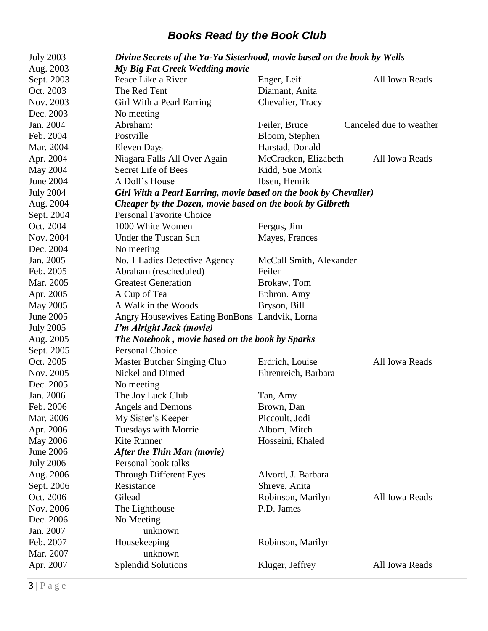| <b>July 2003</b> | Divine Secrets of the Ya-Ya Sisterhood, movie based on the book by Wells |                         |                         |
|------------------|--------------------------------------------------------------------------|-------------------------|-------------------------|
| Aug. 2003        | My Big Fat Greek Wedding movie                                           |                         |                         |
| Sept. 2003       | Peace Like a River                                                       | Enger, Leif             | All Iowa Reads          |
| Oct. 2003        | The Red Tent                                                             | Diamant, Anita          |                         |
| Nov. 2003        | Girl With a Pearl Earring                                                | Chevalier, Tracy        |                         |
| Dec. 2003        | No meeting                                                               |                         |                         |
| Jan. 2004        | Abraham:                                                                 | Feiler, Bruce           | Canceled due to weather |
| Feb. 2004        | Postville                                                                | Bloom, Stephen          |                         |
| Mar. 2004        | <b>Eleven Days</b>                                                       | Harstad, Donald         |                         |
| Apr. 2004        | Niagara Falls All Over Again                                             | McCracken, Elizabeth    | All Iowa Reads          |
| May 2004         | Secret Life of Bees                                                      | Kidd, Sue Monk          |                         |
| <b>June 2004</b> | A Doll's House                                                           | Ibsen, Henrik           |                         |
| <b>July 2004</b> | Girl With a Pearl Earring, movie based on the book by Chevalier)         |                         |                         |
| Aug. 2004        | Cheaper by the Dozen, movie based on the book by Gilbreth                |                         |                         |
| Sept. 2004       | <b>Personal Favorite Choice</b>                                          |                         |                         |
| Oct. 2004        | 1000 White Women                                                         | Fergus, Jim             |                         |
| Nov. 2004        | Under the Tuscan Sun                                                     | Mayes, Frances          |                         |
| Dec. 2004        | No meeting                                                               |                         |                         |
| Jan. 2005        | No. 1 Ladies Detective Agency                                            | McCall Smith, Alexander |                         |
| Feb. 2005        | Abraham (rescheduled)                                                    | Feiler                  |                         |
| Mar. 2005        | <b>Greatest Generation</b>                                               | Brokaw, Tom             |                         |
| Apr. 2005        | A Cup of Tea                                                             | Ephron. Amy             |                         |
| May 2005         | A Walk in the Woods                                                      | Bryson, Bill            |                         |
| June 2005        | Angry Housewives Eating BonBons Landvik, Lorna                           |                         |                         |
| <b>July 2005</b> | I'm Alright Jack (movie)                                                 |                         |                         |
| Aug. 2005        | The Notebook, movie based on the book by Sparks                          |                         |                         |
| Sept. 2005       | Personal Choice                                                          |                         |                         |
| Oct. 2005        | <b>Master Butcher Singing Club</b>                                       | Erdrich, Louise         | All Iowa Reads          |
| Nov. 2005        | Nickel and Dimed                                                         | Ehrenreich, Barbara     |                         |
| Dec. 2005        | No meeting                                                               |                         |                         |
| Jan. 2006        | The Joy Luck Club                                                        | Tan, Amy                |                         |
| Feb. 2006        | Angels and Demons                                                        | Brown, Dan              |                         |
| Mar. 2006        | My Sister's Keeper                                                       | Piccoult, Jodi          |                         |
| Apr. 2006        | Tuesdays with Morrie                                                     | Albom, Mitch            |                         |
| <b>May 2006</b>  | Kite Runner                                                              | Hosseini, Khaled        |                         |
| June 2006        | After the Thin Man (movie)                                               |                         |                         |
| <b>July 2006</b> | Personal book talks                                                      |                         |                         |
| Aug. 2006        | Through Different Eyes                                                   | Alvord, J. Barbara      |                         |
| Sept. 2006       | Resistance                                                               | Shreve, Anita           |                         |
| Oct. 2006        | Gilead                                                                   | Robinson, Marilyn       | All Iowa Reads          |
| Nov. 2006        | The Lighthouse                                                           | P.D. James              |                         |
| Dec. 2006        | No Meeting                                                               |                         |                         |
| Jan. 2007        | unknown                                                                  |                         |                         |
| Feb. 2007        | Housekeeping                                                             | Robinson, Marilyn       |                         |
| Mar. 2007        | unknown                                                                  |                         |                         |
| Apr. 2007        | <b>Splendid Solutions</b>                                                | Kluger, Jeffrey         | All Iowa Reads          |
|                  |                                                                          |                         |                         |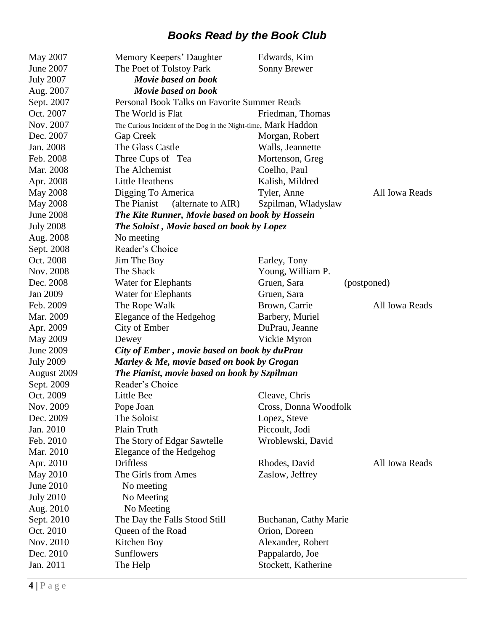| May 2007         | Memory Keepers' Daughter                                       | Edwards, Kim                    |
|------------------|----------------------------------------------------------------|---------------------------------|
| June 2007        | The Poet of Tolstoy Park                                       | Sonny Brewer                    |
| <b>July 2007</b> | Movie based on book                                            |                                 |
| Aug. 2007        | Movie based on book                                            |                                 |
| Sept. 2007       | Personal Book Talks on Favorite Summer Reads                   |                                 |
| Oct. 2007        | The World is Flat                                              | Friedman, Thomas                |
| Nov. 2007        | The Curious Incident of the Dog in the Night-time, Mark Haddon |                                 |
| Dec. 2007        | Gap Creek                                                      | Morgan, Robert                  |
| Jan. 2008        | The Glass Castle                                               | Walls, Jeannette                |
| Feb. 2008        | Three Cups of Tea                                              | Mortenson, Greg                 |
| Mar. 2008        | The Alchemist                                                  | Coelho, Paul                    |
| Apr. 2008        | <b>Little Heathens</b>                                         | Kalish, Mildred                 |
| <b>May 2008</b>  | Digging To America                                             | Tyler, Anne<br>All Iowa Reads   |
| <b>May 2008</b>  | The Pianist<br>(alternate to AIR)                              | Szpilman, Władysław             |
| <b>June 2008</b> | The Kite Runner, Movie based on book by Hossein                |                                 |
| <b>July 2008</b> | <b>The Soloist, Movie based on book by Lopez</b>               |                                 |
| Aug. 2008        | No meeting                                                     |                                 |
| Sept. 2008       | Reader's Choice                                                |                                 |
| Oct. 2008        | Jim The Boy                                                    | Earley, Tony                    |
| Nov. 2008        | The Shack                                                      | Young, William P.               |
| Dec. 2008        | Water for Elephants                                            | Gruen, Sara<br>(postponed)      |
| Jan 2009         | Water for Elephants                                            | Gruen, Sara                     |
| Feb. 2009        | The Rope Walk                                                  | Brown, Carrie<br>All Iowa Reads |
| Mar. 2009        | Elegance of the Hedgehog                                       | Barbery, Muriel                 |
| Apr. 2009        | City of Ember                                                  | DuPrau, Jeanne                  |
| <b>May 2009</b>  | Dewey                                                          | Vickie Myron                    |
| June 2009        | City of Ember, movie based on book by duPrau                   |                                 |
| <b>July 2009</b> | Marley & Me, movie based on book by Grogan                     |                                 |
| August 2009      | The Pianist, movie based on book by Szpilman                   |                                 |
| Sept. 2009       | Reader's Choice                                                |                                 |
| Oct. 2009        | Little Bee                                                     | Cleave, Chris                   |
| Nov. 2009        | Pope Joan                                                      | Cross, Donna Woodfolk           |
| Dec. 2009        | The Soloist                                                    | Lopez, Steve                    |
| Jan. 2010        | Plain Truth                                                    | Piccoult, Jodi                  |
| Feb. 2010        | The Story of Edgar Sawtelle                                    | Wroblewski, David               |
| Mar. 2010        | Elegance of the Hedgehog                                       |                                 |
| Apr. 2010        | <b>Driftless</b>                                               | Rhodes, David<br>All Iowa Reads |
| <b>May 2010</b>  | The Girls from Ames                                            | Zaslow, Jeffrey                 |
| <b>June 2010</b> | No meeting                                                     |                                 |
| <b>July 2010</b> | No Meeting                                                     |                                 |
| Aug. 2010        | No Meeting                                                     |                                 |
| Sept. 2010       | The Day the Falls Stood Still                                  | Buchanan, Cathy Marie           |
| Oct. 2010        | Queen of the Road                                              | Orion, Doreen                   |
| Nov. 2010        | Kitchen Boy                                                    | Alexander, Robert               |
| Dec. 2010        | Sunflowers                                                     | Pappalardo, Joe                 |
| Jan. 2011        | The Help                                                       | Stockett, Katherine             |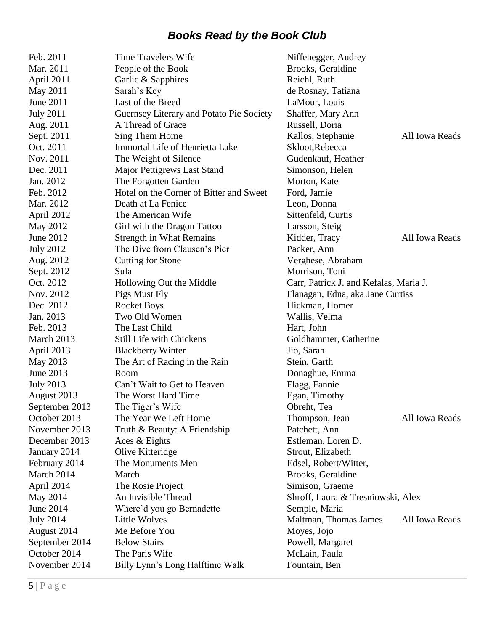| Feb. 2011        | <b>Time Travelers Wife</b>               | Niffenegger, Audrey                     |  |
|------------------|------------------------------------------|-----------------------------------------|--|
| Mar. 2011        | People of the Book                       | Brooks, Geraldine                       |  |
| April 2011       | Garlic & Sapphires                       | Reichl, Ruth                            |  |
| May 2011         | Sarah's Key                              | de Rosnay, Tatiana                      |  |
| June 2011        | Last of the Breed                        | LaMour, Louis                           |  |
| <b>July 2011</b> | Guernsey Literary and Potato Pie Society | Shaffer, Mary Ann                       |  |
| Aug. 2011        | A Thread of Grace                        | Russell, Doria                          |  |
| Sept. 2011       | Sing Them Home                           | Kallos, Stephanie<br>All Iowa Reads     |  |
| Oct. 2011        | Immortal Life of Henrietta Lake          | Skloot, Rebecca                         |  |
| Nov. 2011        | The Weight of Silence                    | Gudenkauf, Heather                      |  |
| Dec. 2011        | Major Pettigrews Last Stand              | Simonson, Helen                         |  |
| Jan. 2012        | The Forgotten Garden                     | Morton, Kate                            |  |
| Feb. 2012        | Hotel on the Corner of Bitter and Sweet  | Ford, Jamie                             |  |
| Mar. 2012        | Death at La Fenice                       | Leon, Donna                             |  |
| April 2012       | The American Wife                        | Sittenfeld, Curtis                      |  |
| May 2012         | Girl with the Dragon Tattoo              | Larsson, Steig                          |  |
| June 2012        | <b>Strength in What Remains</b>          | All Iowa Reads<br>Kidder, Tracy         |  |
| <b>July 2012</b> | The Dive from Clausen's Pier             | Packer, Ann                             |  |
| Aug. 2012        | <b>Cutting for Stone</b>                 | Verghese, Abraham                       |  |
| Sept. 2012       | Sula                                     | Morrison, Toni                          |  |
| Oct. 2012        | Hollowing Out the Middle                 | Carr, Patrick J. and Kefalas, Maria J.  |  |
| Nov. 2012        | Pigs Must Fly                            | Flanagan, Edna, aka Jane Curtiss        |  |
| Dec. 2012        | <b>Rocket Boys</b>                       | Hickman, Homer                          |  |
| Jan. 2013        | Two Old Women                            | Wallis, Velma                           |  |
| Feb. 2013        | The Last Child                           | Hart, John                              |  |
| March 2013       | Still Life with Chickens                 | Goldhammer, Catherine                   |  |
| April 2013       | <b>Blackberry Winter</b>                 | Jio, Sarah                              |  |
| May 2013         | The Art of Racing in the Rain            | Stein, Garth                            |  |
| June 2013        | Room                                     | Donaghue, Emma                          |  |
| <b>July 2013</b> | Can't Wait to Get to Heaven              | Flagg, Fannie                           |  |
| August 2013      | The Worst Hard Time                      | Egan, Timothy                           |  |
| September 2013   | The Tiger's Wife                         | Obreht, Tea                             |  |
| October 2013     | The Year We Left Home                    | All Iowa Reads<br>Thompson, Jean        |  |
| November 2013    | Truth & Beauty: A Friendship             | Patchett, Ann                           |  |
| December 2013    | Aces & Eights                            | Estleman, Loren D.                      |  |
| January 2014     | Olive Kitteridge                         | Strout, Elizabeth                       |  |
| February 2014    | The Monuments Men                        | Edsel, Robert/Witter,                   |  |
| March 2014       | March                                    | Brooks, Geraldine                       |  |
| April 2014       | The Rosie Project                        | Simison, Graeme                         |  |
| May 2014         | An Invisible Thread                      | Shroff, Laura & Tresniowski, Alex       |  |
| June 2014        | Where'd you go Bernadette                | Semple, Maria                           |  |
| <b>July 2014</b> | <b>Little Wolves</b>                     | Maltman, Thomas James<br>All Iowa Reads |  |
| August 2014      | Me Before You                            | Moyes, Jojo                             |  |
| September 2014   | <b>Below Stairs</b>                      | Powell, Margaret                        |  |
| October 2014     | The Paris Wife                           | McLain, Paula                           |  |
| November 2014    | Billy Lynn's Long Halftime Walk          | Fountain, Ben                           |  |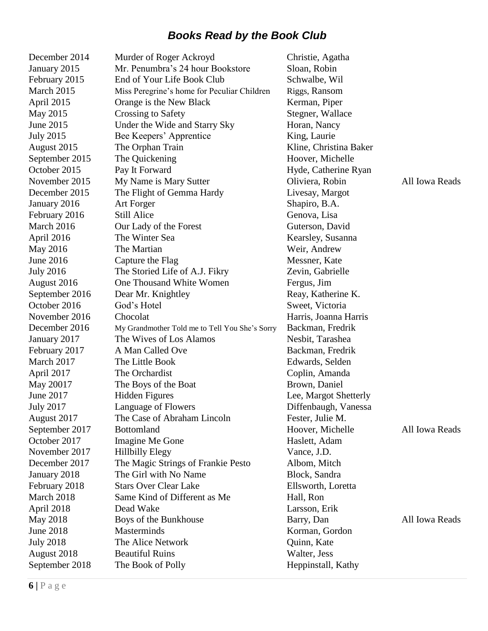| December 2014    | Murder of Roger Ackroyd                        | Christie, Agatha       |                |
|------------------|------------------------------------------------|------------------------|----------------|
| January 2015     | Mr. Penumbra's 24 hour Bookstore               | Sloan, Robin           |                |
| February 2015    | End of Your Life Book Club                     | Schwalbe, Wil          |                |
| March 2015       | Miss Peregrine's home for Peculiar Children    | Riggs, Ransom          |                |
| April 2015       | Orange is the New Black                        | Kerman, Piper          |                |
| May 2015         | Crossing to Safety                             | Stegner, Wallace       |                |
| June 2015        | Under the Wide and Starry Sky                  | Horan, Nancy           |                |
| <b>July 2015</b> | Bee Keepers' Apprentice                        | King, Laurie           |                |
| August 2015      | The Orphan Train                               | Kline, Christina Baker |                |
| September 2015   | The Quickening                                 | Hoover, Michelle       |                |
| October 2015     | Pay It Forward                                 | Hyde, Catherine Ryan   |                |
| November 2015    | My Name is Mary Sutter                         | Oliviera, Robin        | All Iowa Reads |
| December 2015    | The Flight of Gemma Hardy                      | Livesay, Margot        |                |
| January 2016     | Art Forger                                     | Shapiro, B.A.          |                |
| February 2016    | <b>Still Alice</b>                             | Genova, Lisa           |                |
| March 2016       | Our Lady of the Forest                         | Guterson, David        |                |
| April 2016       | The Winter Sea                                 | Kearsley, Susanna      |                |
| May 2016         | The Martian                                    | Weir, Andrew           |                |
| June 2016        | Capture the Flag                               | Messner, Kate          |                |
| <b>July 2016</b> | The Storied Life of A.J. Fikry                 | Zevin, Gabrielle       |                |
| August 2016      | One Thousand White Women                       | Fergus, Jim            |                |
| September 2016   | Dear Mr. Knightley                             | Reay, Katherine K.     |                |
| October 2016     | God's Hotel                                    | Sweet, Victoria        |                |
| November 2016    | Chocolat                                       | Harris, Joanna Harris  |                |
| December 2016    | My Grandmother Told me to Tell You She's Sorry | Backman, Fredrik       |                |
| January 2017     | The Wives of Los Alamos                        | Nesbit, Tarashea       |                |
| February 2017    | A Man Called Ove                               | Backman, Fredrik       |                |
| March 2017       | The Little Book                                | Edwards, Selden        |                |
| April 2017       | The Orchardist                                 | Coplin, Amanda         |                |
| May 20017        | The Boys of the Boat                           | Brown, Daniel          |                |
| June 2017        | <b>Hidden Figures</b>                          | Lee, Margot Shetterly  |                |
| <b>July 2017</b> | Language of Flowers                            | Diffenbaugh, Vanessa   |                |
| August 2017      | The Case of Abraham Lincoln                    | Fester, Julie M.       |                |
| September 2017   | <b>Bottomland</b>                              | Hoover, Michelle       | All Iowa Reads |
| October 2017     | Imagine Me Gone                                | Haslett, Adam          |                |
| November 2017    | <b>Hillbilly Elegy</b>                         | Vance, J.D.            |                |
| December 2017    | The Magic Strings of Frankie Pesto             | Albom, Mitch           |                |
| January 2018     | The Girl with No Name                          | Block, Sandra          |                |
| February 2018    | <b>Stars Over Clear Lake</b>                   | Ellsworth, Loretta     |                |
| March 2018       | Same Kind of Different as Me                   | Hall, Ron              |                |
| April 2018       | Dead Wake                                      | Larsson, Erik          |                |
| May 2018         | Boys of the Bunkhouse                          | Barry, Dan             | All Iowa Reads |
| June 2018        | Masterminds                                    | Korman, Gordon         |                |
| <b>July 2018</b> | The Alice Network                              | Quinn, Kate            |                |
| August 2018      | <b>Beautiful Ruins</b>                         | Walter, Jess           |                |
| September 2018   | The Book of Polly                              | Heppinstall, Kathy     |                |
|                  |                                                |                        |                |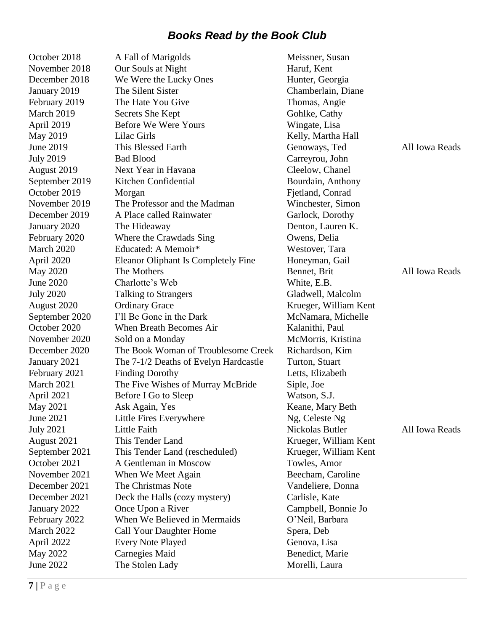| October 2018     | A Fall of Marigolds                   | Meissner, Susan       |                |
|------------------|---------------------------------------|-----------------------|----------------|
| November 2018    | Our Souls at Night                    | Haruf, Kent           |                |
| December 2018    | We Were the Lucky Ones                | Hunter, Georgia       |                |
| January 2019     | The Silent Sister                     | Chamberlain, Diane    |                |
| February 2019    | The Hate You Give                     | Thomas, Angie         |                |
| March 2019       | Secrets She Kept                      | Gohlke, Cathy         |                |
| April 2019       | <b>Before We Were Yours</b>           | Wingate, Lisa         |                |
| May 2019         | Lilac Girls                           | Kelly, Martha Hall    |                |
| June 2019        | This Blessed Earth                    | Genoways, Ted         | All Iowa Reads |
| <b>July 2019</b> | <b>Bad Blood</b>                      | Carreyrou, John       |                |
| August 2019      | Next Year in Havana                   | Cleelow, Chanel       |                |
| September 2019   | Kitchen Confidential                  | Bourdain, Anthony     |                |
| October 2019     | Morgan                                | Fjetland, Conrad      |                |
| November 2019    | The Professor and the Madman          | Winchester, Simon     |                |
| December 2019    | A Place called Rainwater              | Garlock, Dorothy      |                |
| January 2020     | The Hideaway                          | Denton, Lauren K.     |                |
| February 2020    | Where the Crawdads Sing               | Owens, Delia          |                |
| March 2020       | Educated: A Memoir*                   | Westover, Tara        |                |
| April 2020       | Eleanor Oliphant Is Completely Fine   | Honeyman, Gail        |                |
| May 2020         | The Mothers                           | Bennet, Brit          | All Iowa Reads |
| June 2020        | Charlotte's Web                       | White, E.B.           |                |
| <b>July 2020</b> | <b>Talking to Strangers</b>           | Gladwell, Malcolm     |                |
| August 2020      | <b>Ordinary Grace</b>                 | Krueger, William Kent |                |
| September 2020   | I'll Be Gone in the Dark              | McNamara, Michelle    |                |
| October 2020     | When Breath Becomes Air               | Kalanithi, Paul       |                |
| November 2020    | Sold on a Monday                      | McMorris, Kristina    |                |
| December 2020    | The Book Woman of Troublesome Creek   | Richardson, Kim       |                |
| January 2021     | The 7-1/2 Deaths of Evelyn Hardcastle | Turton, Stuart        |                |
| February 2021    | <b>Finding Dorothy</b>                | Letts, Elizabeth      |                |
| March 2021       | The Five Wishes of Murray McBride     | Siple, Joe            |                |
| April 2021       | Before I Go to Sleep                  | Watson, S.J.          |                |
| May 2021         | Ask Again, Yes                        | Keane, Mary Beth      |                |
| June 2021        | Little Fires Everywhere               | Ng, Celeste Ng        |                |
| <b>July 2021</b> | Little Faith                          | Nickolas Butler       | All Iowa Reads |
| August 2021      | This Tender Land                      | Krueger, William Kent |                |
| September 2021   | This Tender Land (rescheduled)        | Krueger, William Kent |                |
| October 2021     | A Gentleman in Moscow                 | Towles, Amor          |                |
| November 2021    | When We Meet Again                    | Beecham, Caroline     |                |
| December 2021    | The Christmas Note                    | Vandeliere, Donna     |                |
| December 2021    | Deck the Halls (cozy mystery)         | Carlisle, Kate        |                |
| January 2022     | Once Upon a River                     | Campbell, Bonnie Jo   |                |
| February 2022    | When We Believed in Mermaids          | O'Neil, Barbara       |                |
| March 2022       | Call Your Daughter Home               | Spera, Deb            |                |
| April 2022       | <b>Every Note Played</b>              | Genova, Lisa          |                |
| May 2022         | Carnegies Maid                        | Benedict, Marie       |                |
| June 2022        | The Stolen Lady                       | Morelli, Laura        |                |
|                  |                                       |                       |                |